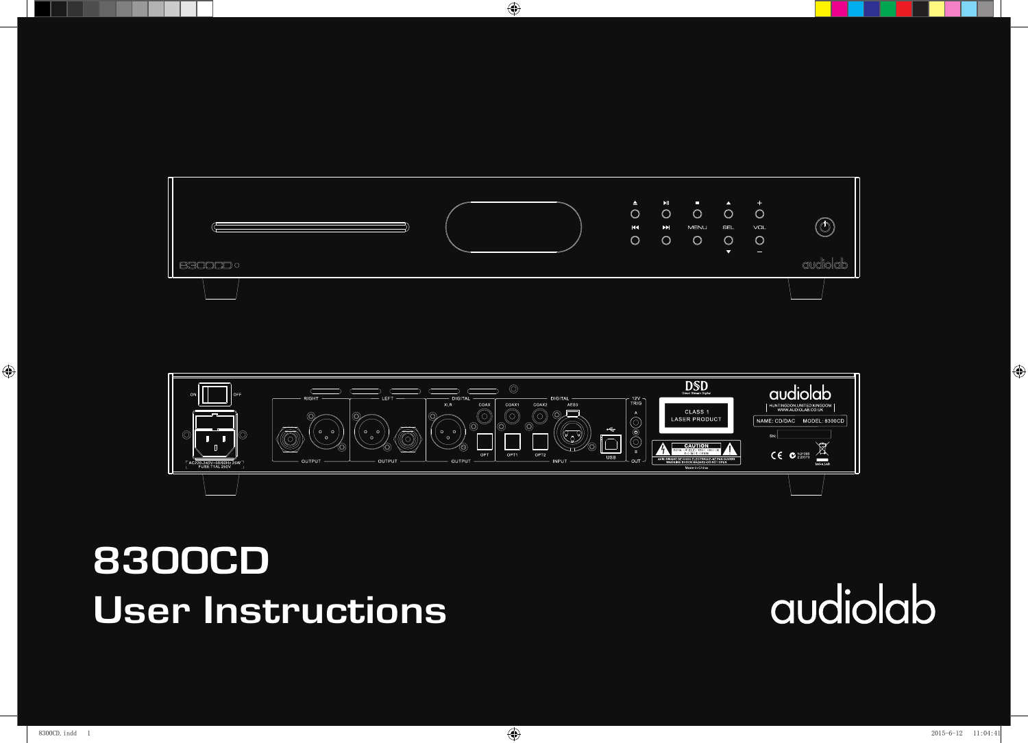

 $\bigoplus$ 



# **User Instructions 8300CD**

audiolab

 $\bigoplus$ 

 $\bigcirc$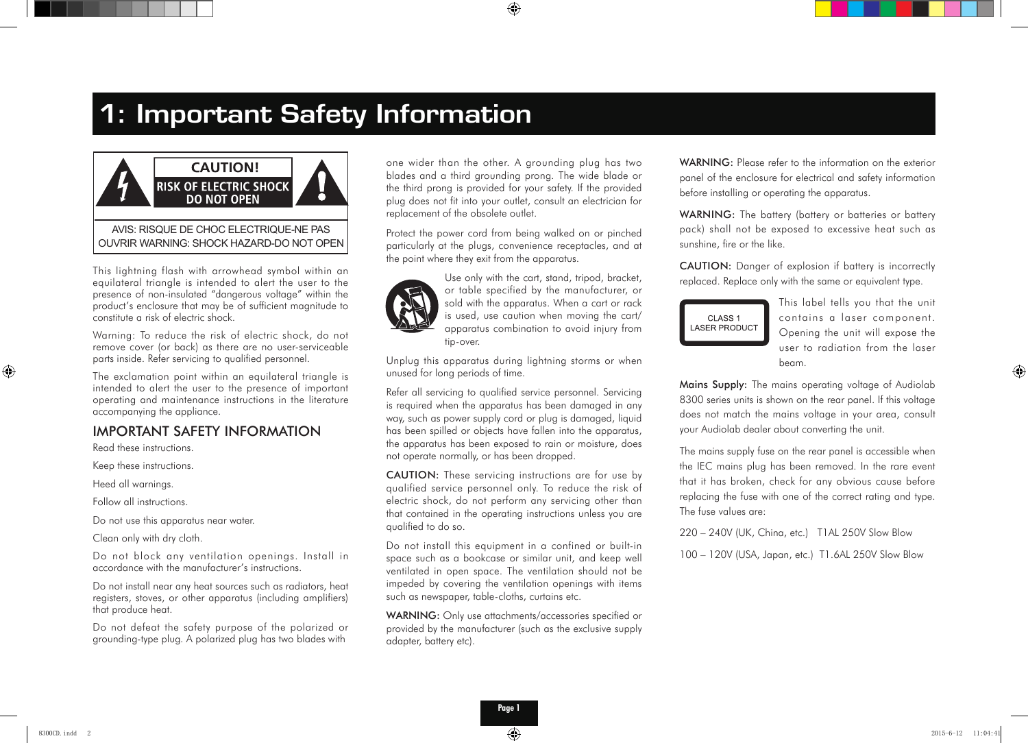$\bigoplus$ 

### 1: Important Safety Information



This lightning flash with arrowhead symbol within an equilateral triangle is intended to alert the user to the presence of non-insulated "dangerous voltage" within the product's enclosure that may be of sufficient magnitude to constitute a risk of electric shock.

Warning: To reduce the risk of electric shock, do not remove cover (or back) as there are no user-serviceable parts inside. Refer servicing to qualified personnel.

The exclamation point within an equilateral triangle is intended to alert the user to the presence of important operating and maintenance instructions in the literature accompanying the appliance.

#### IMPORTANT SAFETY INFORMATION

Read these instructions.

Keep these instructions.

Heed all warnings.

Follow all instructions.

Do not use this apparatus near water.

Clean only with dry cloth.

Do not block any ventilation openings. Install in accordance with the manufacturer's instructions.

Do not install near any heat sources such as radiators, heat registers, stoves, or other apparatus (including amplifiers) that produce heat.

Do not defeat the safety purpose of the polarized or grounding-type plug. A polarized plug has two blades with

one wider than the other. A grounding plug has two blades and a third grounding prong. The wide blade or the third prong is provided for your safety. If the provided plug does not fit into your outlet, consult an electrician for replacement of the obsolete outlet.

Protect the power cord from being walked on or pinched particularly at the plugs, convenience receptacles, and at the point where they exit from the apparatus.



Use only with the cart, stand, tripod, bracket, or table specified by the manufacturer, or sold with the apparatus. When a cart or rack is used, use caution when moving the cart/ apparatus combination to avoid injury from tip-over.

Unplug this apparatus during lightning storms or when unused for long periods of time.

Refer all servicing to qualified service personnel. Servicing is required when the apparatus has been damaged in any way, such as power supply cord or plug is damaged, liquid has been spilled or objects have fallen into the apparatus, the apparatus has been exposed to rain or moisture, does not operate normally, or has been dropped.

CAUTION: These servicing instructions are for use by qualified service personnel only. To reduce the risk of electric shock, do not perform any servicing other than that contained in the operating instructions unless you are qualified to do so.

Do not install this equipment in a confined or built-in space such as a bookcase or similar unit, and keep well ventilated in open space. The ventilation should not be impeded by covering the ventilation openings with items such as newspaper, table-cloths, curtains etc.

WARNING: Only use attachments/accessories specified or provided by the manufacturer (such as the exclusive supply adapter, battery etc).

WARNING: Please refer to the information on the exterior panel of the enclosure for electrical and safety information before installing or operating the apparatus.

WARNING: The battery (battery or batteries or battery pack) shall not be exposed to excessive heat such as sunshine, fire or the like.

CAUTION: Danger of explosion if battery is incorrectly replaced. Replace only with the same or equivalent type.



This label tells you that the unit contains a laser component. Opening the unit will expose the user to radiation from the laser beam.

Mains Supply: The mains operating voltage of Audiolab 8300 series units is shown on the rear panel. If this voltage does not match the mains voltage in your area, consult your Audiolab dealer about converting the unit.

The mains supply fuse on the rear panel is accessible when the IEC mains plug has been removed. In the rare event that it has broken, check for any obvious cause before replacing the fuse with one of the correct rating and type. The fuse values are:

220 – 240V (UK, China, etc.) T1AL 250V Slow Blow

100 – 120V (USA, Japan, etc.) T1.6AL 250V Slow Blow

⊕

**Page 1**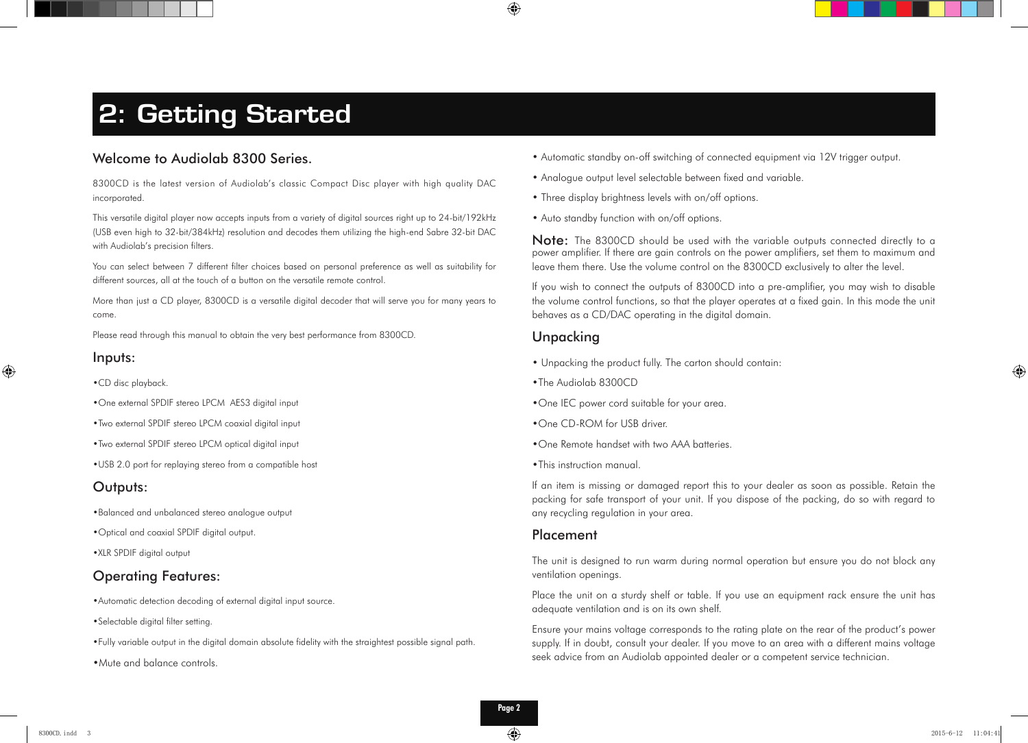### 2: Getting Started

#### Welcome to Audiolab 8300 Series.

8300CD is the latest version of Audiolab's classic Compact Disc player with high quality DAC incorporated.

This versatile digital player now accepts inputs from a variety of digital sources right up to 24-bit/192kHz (USB even high to 32-bit/384kHz) resolution and decodes them utilizing the high-end Sabre 32-bit DAC with Audiolab's precision filters.

You can select between 7 different filter choices based on personal preference as well as suitability for different sources, all at the touch of a button on the versatile remote control.

More than just a CD player, 8300CD is a versatile digital decoder that will serve you for many years to come.

Please read through this manual to obtain the very best performance from 8300CD.

#### Inputs:

◈

•CD disc playback.

•One external SPDIF stereo LPCM AES3 digital input

•Two external SPDIF stereo LPCM coaxial digital input

•Two external SPDIF stereo LPCM optical digital input

•USB 2.0 port for replaying stereo from a compatible host

#### Outputs:

•Balanced and unbalanced stereo analogue output

•Optical and coaxial SPDIF digital output.

•XLR SPDIF digital output

#### Operating Features:

•Automatic detection decoding of external digital input source.

- •Selectable digital filter setting.
- •Fully variable output in the digital domain absolute fidelity with the straightest possible signal path.
- •Mute and balance controls.
- Automatic standby on-off switching of connected equipment via 12V trigger output.
- Analogue output level selectable between fixed and variable.
- Three display brightness levels with on/off options.
- Auto standby function with on/off options.

Note: The 8300CD should be used with the variable outputs connected directly to a power amplifier. If there are gain controls on the power amplifiers, set them to maximum and leave them there. Use the volume control on the 8300CD exclusively to alter the level.

If you wish to connect the outputs of 8300CD into a pre-amplifier, you may wish to disable the volume control functions, so that the player operates at a fixed gain. In this mode the unit behaves as a CD/DAC operating in the digital domain.

#### Unpacking

⊕

- Unpacking the product fully. The carton should contain:
- •The Audiolab 8300CD
- •One IEC power cord suitable for your area.
- •One CD-ROM for USB driver.
- •One Remote handset with two AAA batteries.
- •This instruction manual.

If an item is missing or damaged report this to your dealer as soon as possible. Retain the packing for safe transport of your unit. If you dispose of the packing, do so with regard to any recycling regulation in your area.

#### Placement

The unit is designed to run warm during normal operation but ensure you do not block any ventilation openings.

Place the unit on a sturdy shelf or table. If you use an equipment rack ensure the unit has adequate ventilation and is on its own shelf.

Ensure your mains voltage corresponds to the rating plate on the rear of the product's power supply. If in doubt, consult your dealer. If you move to an area with a different mains voltage seek advice from an Audiolab appointed dealer or a competent service technician.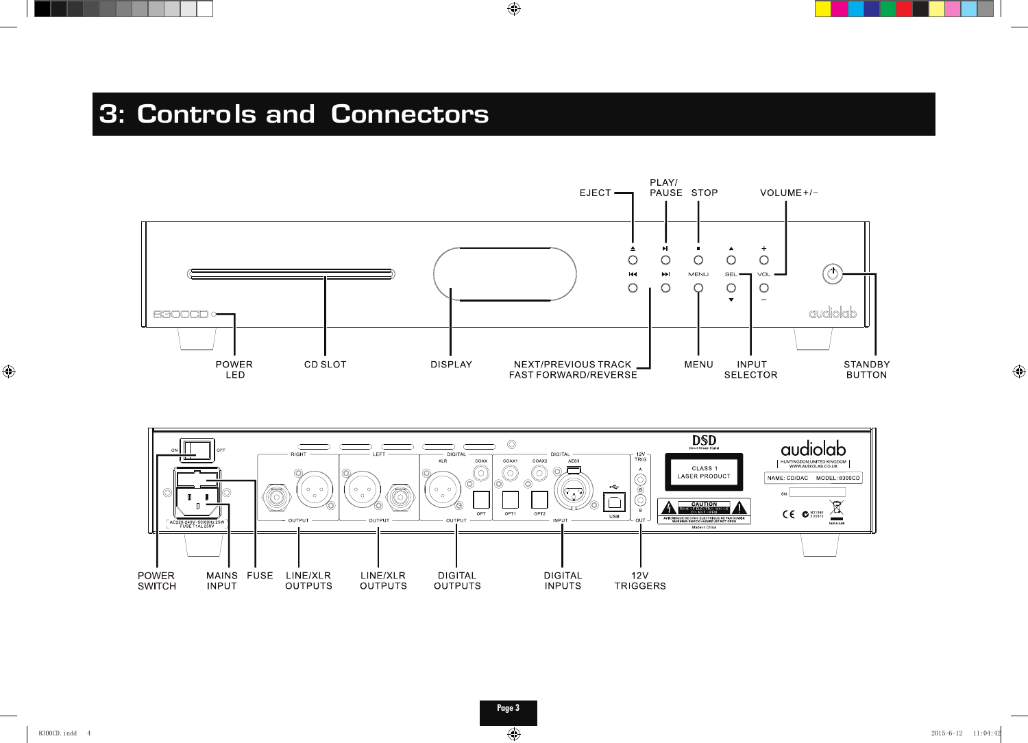### 3: Controls and Connectors



 $\bigoplus$ 



 $\bigoplus$ 

**Page 3**

 $\bigoplus$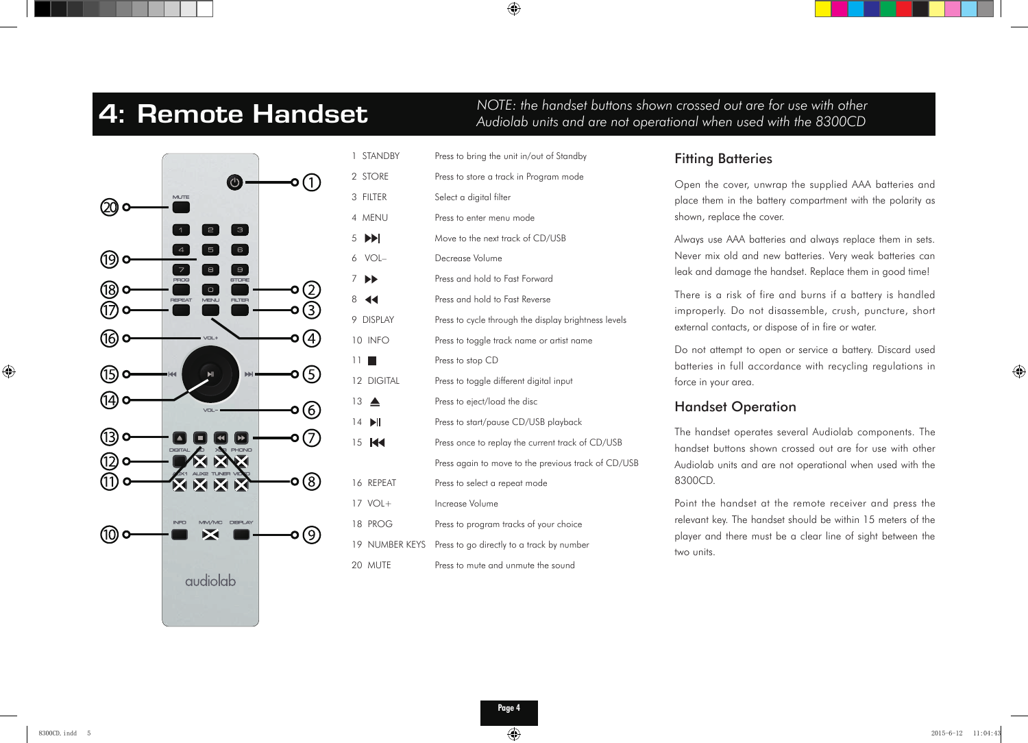### 4: Remote Handset

*NOTE: the handset buttons shown crossed out are for use with other Audiolab units and are not operational when used with the 8300CD*



| 1 STANDBY             | Press to bring the unit in/out of Standby            |
|-----------------------|------------------------------------------------------|
| 2 STORE               | Press to store a track in Program mode               |
| 3 FILTER              | Select a digital filter                              |
| 4 MENU                | Press to enter menu mode                             |
| EE<br>5               | Move to the next track of CD/USB                     |
| VOL-<br>6             | Decrease Volume                                      |
| 7<br>▶▶               | Press and hold to Fast Forward                       |
| 8                     | Press and hold to Fast Reverse                       |
| 9 DISPLAY             | Press to cycle through the display brightness levels |
| <b>10 INFO</b>        | Press to toggle track name or artist name            |
| 11                    | Press to stop CD                                     |
| 12 DIGITAL            | Press to toggle different digital input              |
| $13 \triangle$        | Press to eject/load the disc                         |
| ÐI<br>14              | Press to start/pause CD/USB playback                 |
| <b>KK</b><br>15       | Press once to replay the current track of CD/USB     |
|                       | Press again to move to the previous track of CD/USB  |
| 16 REPEAT             | Press to select a repeat mode                        |
| 17 VOL+               | Increase Volume                                      |
| 18 PROG               | Press to program tracks of your choice               |
| <b>19 NUMBER KEYS</b> | Press to go directly to a track by number            |
|                       |                                                      |

⊕

#### 20 MUTE Press to mute and unmute the sound

#### Fitting Batteries

Open the cover, unwrap the supplied AAA batteries and place them in the battery compartment with the polarity as shown, replace the cover.

Always use AAA batteries and always replace them in sets. Never mix old and new batteries. Very weak batteries can leak and damage the handset. Replace them in good time!

There is a risk of fire and burns if a battery is handled improperly. Do not disassemble, crush, puncture, short external contacts, or dispose of in fire or water.

Do not attempt to open or service a battery. Discard used batteries in full accordance with recycling regulations in force in your area.

#### Handset Operation

The handset operates several Audiolab components. The handset buttons shown crossed out are for use with other Audiolab units and are not operational when used with the 8300CD.

Point the handset at the remote receiver and press the relevant key. The handset should be within 15 meters of the player and there must be a clear line of sight between the two units.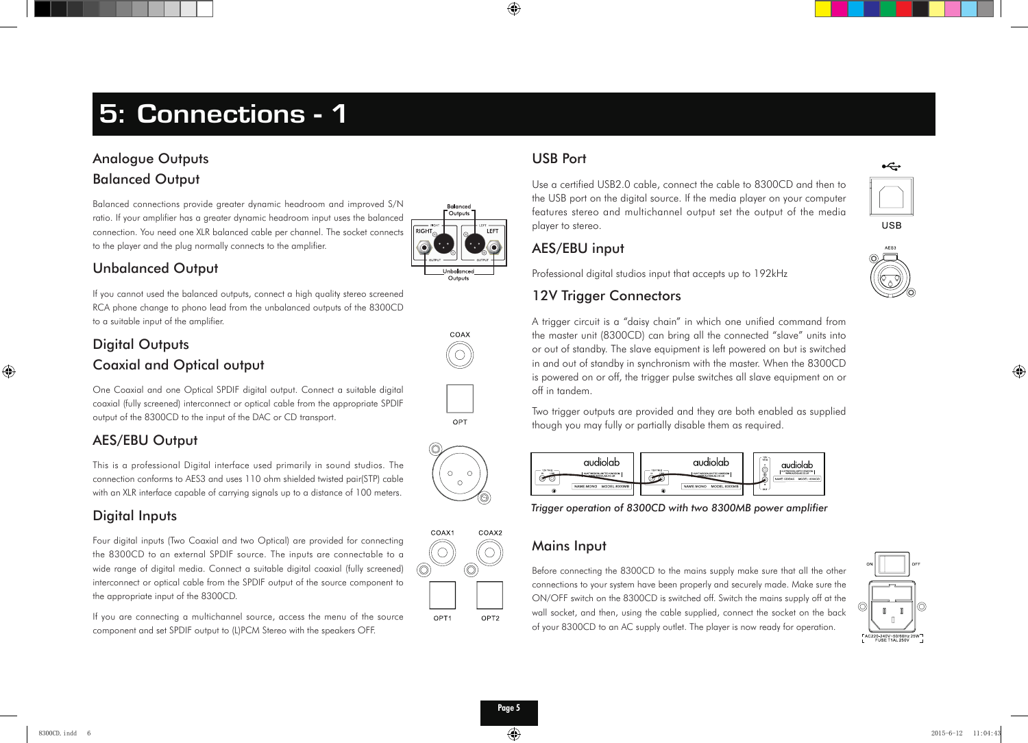# 5: Connections - 1 –

#### Analogue Outputs Balanced Output

Balanced connections provide greater dynamic headroom and improved S/N ratio. If your amplifier has a greater dynamic headroom input uses the balanced connection. You need one XLR balanced cable per channel. The socket connects to the player and the plug normally connects to the amplifier.

#### Unbalanced Output

If you cannot used the balanced outputs, connect a high quality stereo screened RCA phone change to phono lead from the unbalanced outputs of the 8300CD to a suitable input of the amplifier.

#### Digital Outputs

#### Coaxial and Optical output

One Coaxial and one Optical SPDIF digital output. Connect a suitable digital coaxial (fully screened) interconnect or optical cable from the appropriate SPDIF output of the 8300CD to the input of the DAC or CD transport.

#### AES/EBU Output

This is a professional Digital interface used primarily in sound studios. The connection conforms to AES3 and uses 110 ohm shielded twisted pair(STP) cable with an XLR interface capable of carrying signals up to a distance of 100 meters.

#### Digital Inputs

Four digital inputs (Two Coaxial and two Optical) are provided for connecting the 8300CD to an external SPDIF source. The inputs are connectable to a wide range of digital media. Connect a suitable digital coaxial (fully screened) interconnect or optical cable from the SPDIF output of the source component to the appropriate input of the 8300CD.

COAX2 COAX  $\circ$  $\sigma$  $\circledcirc$ (O)

OPT<sub>1</sub>

**Balanced** Outputs

Outputs

COAX O)

OPT

 $\circ$  $\circ$ 

If you are connecting a multichannel source, access the menu of the source component and set SPDIF output to (L)PCM Stereo with the speakers OFF.

#### USB Port

⊕

Use a certified USB2.0 cable, connect the cable to 8300CD and then to the USB port on the digital source. If the media player on your computer features stereo and multichannel output set the output of the media player to stereo.

#### AES/EBU input

Professional digital studios input that accepts up to 192kHz

#### 12V Trigger Connectors

A trigger circuit is a "daisy chain" in which one unified command from the master unit (8300CD) can bring all the connected "slave" units into or out of standby. The slave equipment is left powered on but is switched in and out of standby in synchronism with the master. When the 8300CD is powered on or off, the trigger pulse switches all slave equipment on or off in tandem.

Two trigger outputs are provided and they are both enabled as supplied though you may fully or partially disable them as required.



*Trigger operation of 8300CD with two 8300MB power amplifier*

#### Mains Input

Before connecting the 8300CD to the mains supply make sure that all the other connections to your system have been properly and securely made. Make sure the ON/OFF switch on the 8300CD is switched off. Switch the mains supply off at the wall socket, and then, using the cable supplied, connect the socket on the back of your 8300CD to an AC supply outlet. The player is now ready for operation.





 $\leftarrow$ 

**USB** 



⊕

OPT<sub>2</sub>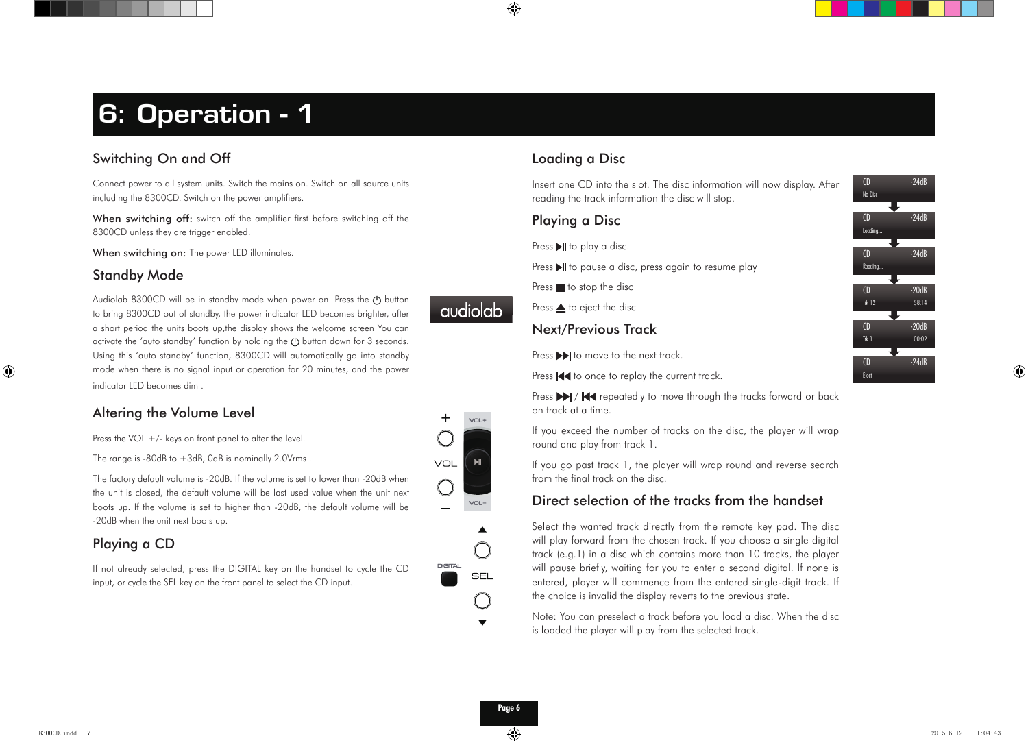# 6: Operation - 1

#### Switching On and Off

Connect power to all system units. Switch the mains on. Switch on all source units including the 8300CD. Switch on the power amplifiers.

When switching off: switch off the amplifier first before switching off the 8300CD unless they are trigger enabled.

When switching on: The power LED illuminates.

#### Standby Mode

Audiolab 8300CD will be in standby mode when power on. Press the (1) button to bring 8300CD out of standby, the power indicator LED becomes brighter, after a short period the units boots up,the display shows the welcome screen You can activate the 'auto standby' function by holding the (1) button down for 3 seconds. Using this 'auto standby' function, 8300CD will automatically go into standby mode when there is no signal input or operation for 20 minutes, and the power indicator LED becomes dim .

#### Altering the Volume Level

Press the VOL  $+/$ - keys on front panel to alter the level.

The range is -80dB to +3dB, 0dB is nominally 2.0Vrms .

The factory default volume is -20dB. If the volume is set to lower than -20dB when the unit is closed, the default volume will be last used value when the unit next boots up. If the volume is set to higher than -20dB, the default volume will be -20dB when the unit next boots up.

#### Playing a CD

If not already selected, press the DIGITAL key on the handset to cycle the CD input, or cycle the SEL key on the front panel to select the CD input.



⊕

audiolab

 $VOL+$ 

 $H$ 

 $\vee$  <br> <br> OL –

 $\blacktriangle$  $\bigcap$ 

**SEL** 

 $\cup$  $\overline{\textbf{v}}$ 

**VOL** 

 $(\ )$ 

DIGITAL

Insert one CD into the slot. The disc information will now display. After reading the track information the disc will stop.

#### Playing a Disc

Press II to play a disc.

Press  $\blacktriangleright$  to pause a disc, press again to resume play

Press  $\blacksquare$  to stop the disc

Press  $\triangle$  to eject the disc

#### Next/Previous Track

Press  $\blacktriangleright$  to move to the next track.

Press to once to replay the current track.

Press  $\blacktriangleright$  /  $\blacktriangleright$  repeatedly to move through the tracks forward or back on track at a time.

If you exceed the number of tracks on the disc, the player will wrap round and play from track 1.

If you go past track 1, the player will wrap round and reverse search from the final track on the disc.

#### Direct selection of the tracks from the handset

Select the wanted track directly from the remote key pad. The disc will play forward from the chosen track. If you choose a single digital track (e.g.1) in a disc which contains more than 10 tracks, the player will pause briefly, waiting for you to enter a second digital. If none is entered, player will commence from the entered single-digit track. If the choice is invalid the display reverts to the previous state.

Note: You can preselect a track before you load a disc. When the disc is loaded the player will play from the selected track.



⊕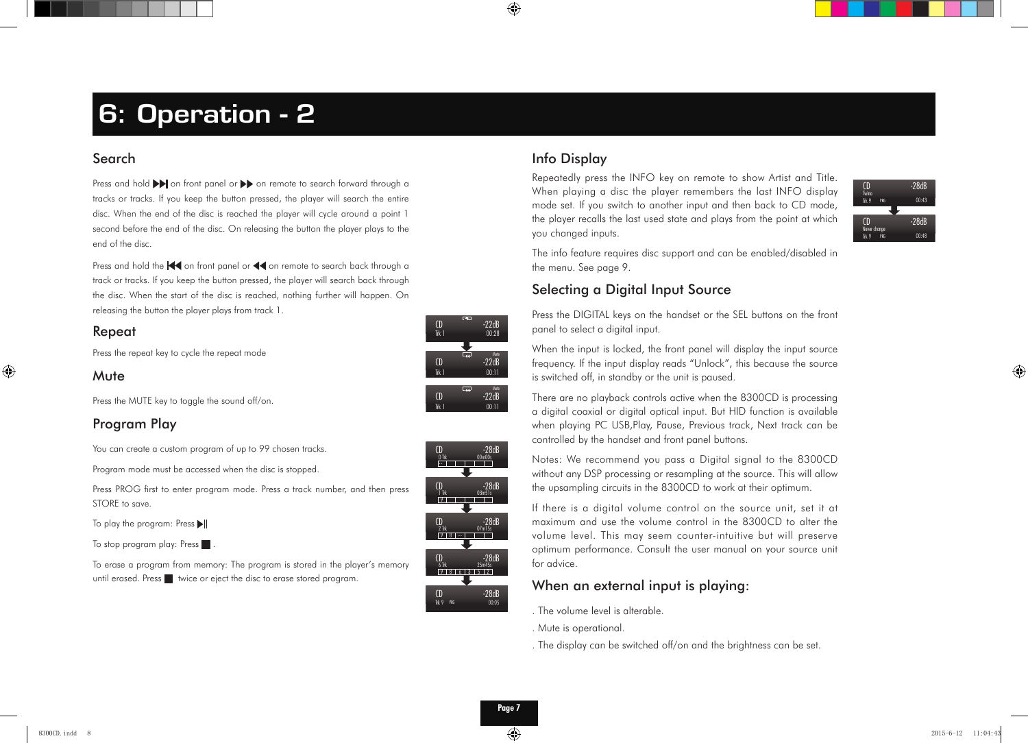# 6: Operation - 2

#### Search

Press and hold  $\blacktriangleright$  on front panel or  $\blacktriangleright$  on remote to search forward through a tracks or tracks. If you keep the button pressed, the player will search the entire disc. When the end of the disc is reached the player will cycle around a point 1 second before the end of the disc. On releasing the button the player plays to the end of the disc.

Press and hold the  $\blacktriangleleft$  on front panel or  $\blacktriangleleft$  on remote to search back through a track or tracks. If you keep the button pressed, the player will search back through the disc. When the start of the disc is reached, nothing further will happen. On releasing the button the player plays from track 1.

#### Repeat

Press the repeat key to cycle the repeat mode

#### Mute

◈

Press the MUTE key to toggle the sound off/on.

#### Program Play

You can create a custom program of up to 99 chosen tracks.

Program mode must be accessed when the disc is stopped.

Press PROG first to enter program mode. Press a track number, and then press STORE to save.

To play the program: Press  $\blacktriangleright$ 

To stop program play: Press

To erase a program from memory: The program is stored in the player's memory until erased. Press twice or eject the disc to erase stored program.



Info Display

⊕

When playing a disc the player remembers the last INFO display mode set. If you switch to another input and then back to CD mode, the player recalls the last used state and plays from the point at which you changed inputs.



The info feature requires disc support and can be enabled/disabled in the menu. See page 9.

#### Selecting a Digital Input Source

Press the DIGITAL keys on the handset or the SEL buttons on the front panel to select a digital input.

When the input is locked, the front panel will display the input source frequency. If the input display reads "Unlock", this because the source is switched off, in standby or the unit is paused.

There are no playback controls active when the 8300CD is processing a digital coaxial or digital optical input. But HID function is available when playing PC USB,Play, Pause, Previous track, Next track can be controlled by the handset and front panel buttons.

Notes: We recommend you pass a Digital signal to the 8300CD without any DSP processing or resampling at the source. This will allow the upsampling circuits in the 8300CD to work at their optimum.

If there is a digital volume control on the source unit, set it at maximum and use the volume control in the 8300CD to alter the volume level. This may seem counter-intuitive but will preserve optimum performance. Consult the user manual on your source unit for advice.

#### When an external input is playing:

- . The volume level is alterable.
- . Mute is operational.
- . The display can be switched off/on and the brightness can be set.





 $\begin{array}{cc}\n\text{CD} & -22\text{dB} \\
\text{D} & -22\text{dB} \\
\text{D} & \text{D} & 28\n\end{array}$ 

<sup>ست</sup> -22dB<br>22dB-

<sup>سته</sup> -22dB<br>22dB-

 $00:28$ 

 $00:11$ 

 $00·11$ 







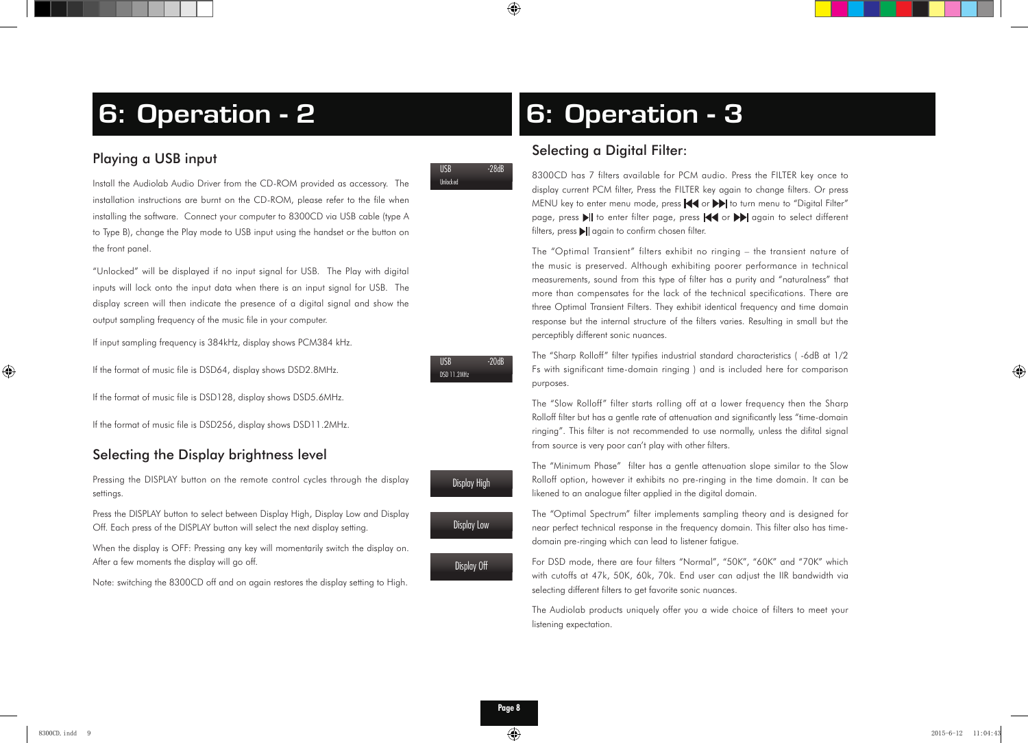### 6: Operation - 2

#### Playing a USB input

Install the Audiolab Audio Driver from the CD-ROM provided as accessory. The installation instructions are burnt on the CD-ROM, please refer to the file when installing the software. Connect your computer to 8300CD via USB cable (type A to Type B), change the Play mode to USB input using the handset or the button on the front panel.

"Unlocked" will be displayed if no input signal for USB. The Play with digital inputs will lock onto the input data when there is an input signal for USB. The display screen will then indicate the presence of a digital signal and show the output sampling frequency of the music file in your computer.

If input sampling frequency is 384kHz, display shows PCM384 kHz.

If the format of music file is DSD64, display shows DSD2.8MHz.

If the format of music file is DSD128, display shows DSD5.6MHz.

If the format of music file is DSD256, display shows DSD11.2MHz.

#### Selecting the Display brightness level

Pressing the DISPLAY button on the remote control cycles through the display settings.

Press the DISPLAY button to select between Display High, Display Low and Display Off. Each press of the DISPLAY button will select the next display setting.

When the display is OFF: Pressing any key will momentarily switch the display on. After a few moments the display will go off.

Note: switching the 8300CD off and on again restores the display setting to High.

### 6: Operation - 3

#### Selecting a Digital Filter:

8300CD has 7 filters available for PCM audio. Press the FILTER key once to display current PCM filter, Press the FILTER key again to change filters. Or press MENU key to enter menu mode, press  $\blacktriangleleft$  or  $\blacktriangleright$  to turn menu to "Digital Filter" page, press  $\blacktriangleright$  to enter filter page, press  $\blacktriangleright$  or  $\blacktriangleright$  again to select different filters, press  $\blacktriangleright$  | again to confirm chosen filter.

The "Optimal Transient" filters exhibit no ringing – the transient nature of the music is preserved. Although exhibiting poorer performance in technical measurements, sound from this type of filter has a purity and "naturalness" that more than compensates for the lack of the technical specifications. There are three Optimal Transient Filters. They exhibit identical frequency and time domain response but the internal structure of the filters varies. Resulting in small but the perceptibly different sonic nuances.

The "Sharp Rolloff" filter typifies industrial standard characteristics ( -6dB at 1/2 Fs with significant time-domain ringing ) and is included here for comparison purposes.

The "Slow Rolloff" filter starts rolling off at a lower frequency then the Sharp Rolloff filter but has a gentle rate of attenuation and significantly less "time-domain ringing". This filter is not recommended to use normally, unless the difital signal from source is very poor can't play with other filters.

The "Minimum Phase" filter has a gentle attenuation slope similar to the Slow Rolloff option, however it exhibits no pre-ringing in the time domain. It can be likened to an analogue filter applied in the digital domain.

The "Optimal Spectrum" filter implements sampling theory and is designed for near perfect technical response in the frequency domain. This filter also has timedomain pre-ringing which can lead to listener fatigue.

For DSD mode, there are four filters "Normal", "50K", "60K" and "70K" which with cutoffs at 47k, 50K, 60k, 70k. End user can adjust the IIR bandwidth via selecting different filters to get favorite sonic nuances.

The Audiolab products uniquely offer you a wide choice of filters to meet your listening expectation.

#### Display High

 $USB$   $-20dB$ DSD 11.2MHz

 $USB$   $-28dB$ 

⊕

Unlocked



Display Off

⊕

**Page 8**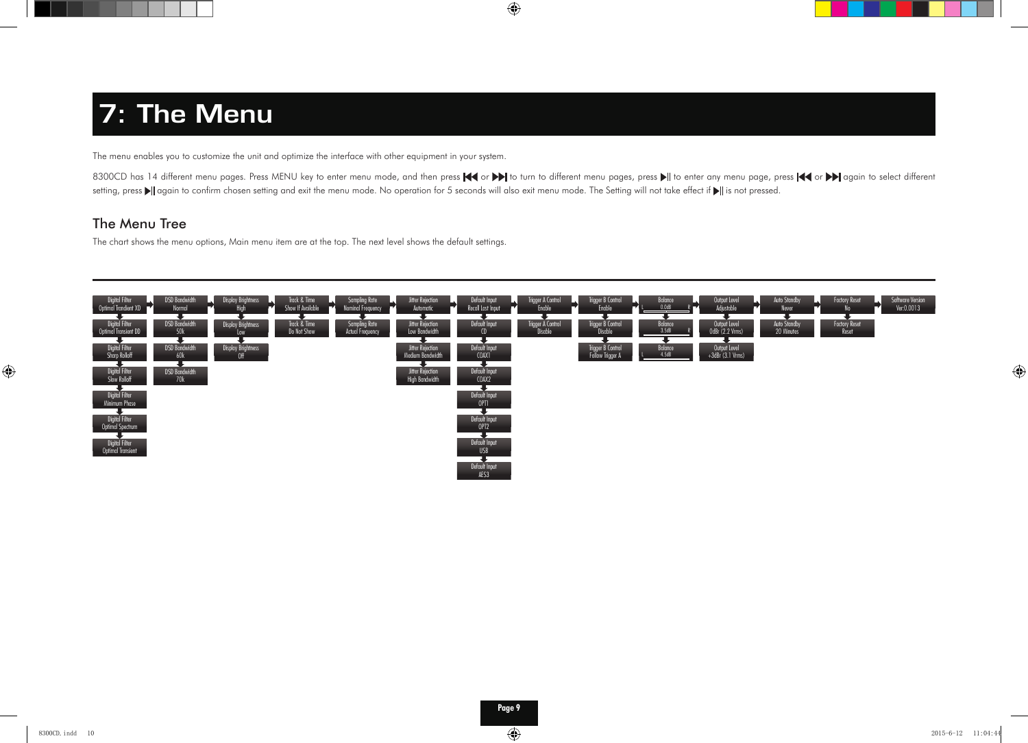# 7: The Menu

The menu enables you to customize the unit and optimize the interface with other equipment in your system.

8300CD has 14 different menu pages. Press MENU key to enter menu mode, and then press  $\blacktriangleleft$  or  $\blacktriangleright$  to turn to different menu pages, press  $\blacktriangleright$  to enter any menu page, press  $\blacktriangleleft$  or  $\blacktriangleright$  again to select differe setting, press I again to confirm chosen setting and exit the menu mode. No operation for 5 seconds will also exit menu mode. The Setting will not take effect if I | s not pressed.

 $\bigoplus$ 

#### The Menu Tree

The chart shows the menu options, Main menu item are at the top. The next level shows the default settings.



 $\bigoplus$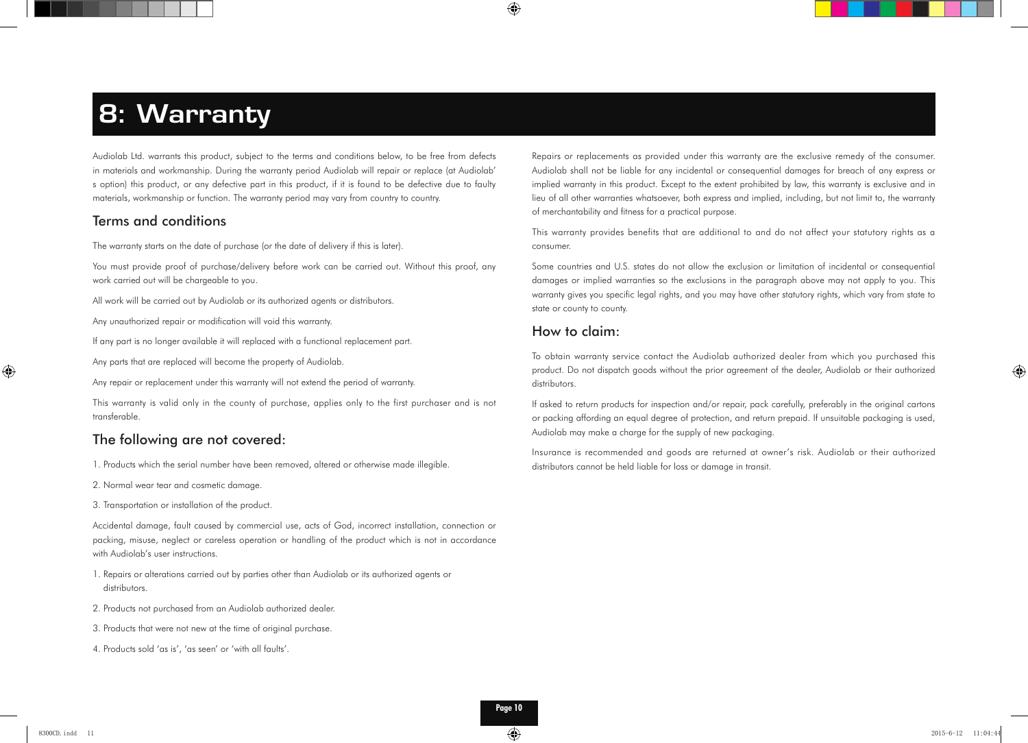### 8: Warranty

Audiolab Ltd. warrants this product, subject to the terms and conditions below, to be free from defects in materials and workmanship. During the warranty period Audiolab will repair or replace (at Audiolab' s option) this product, or any defective part in this product, if it is found to be defective due to faulty materials, workmanship or function. The warranty period may vary from country to country.

#### Terms and conditions

The warranty starts on the date of purchase (or the date of delivery if this is later).

You must provide proof of purchase/delivery before work can be carried out. Without this proof, any work carried out will be chargeable to you.

All work will be carried out by Audiolab or its authorized agents or distributors.

Any unauthorized repair or modification will void this warranty.

If any part is no longer available it will replaced with a functional replacement part.

Any parts that are replaced will become the property of Audiolab.

Any repair or replacement under this warranty will not extend the period of warranty.

This warranty is valid only in the county of purchase, applies only to the first purchaser and is not transferable.

#### The following are not covered:

1. Products which the serial number have been removed, altered or otherwise made illegible.

2. Normal wear tear and cosmetic damage.

3. Transportation or installation of the product.

Accidental damage, fault caused by commercial use, acts of God, incorrect installation, connection or packing, misuse, neglect or careless operation or handling of the product which is not in accordance with Audiolab's user instructions.

- 1. Repairs or alterations carried out by parties other than Audiolab or its authorized agents or distributors.
- 2. Products not purchased from an Audiolab authorized dealer.
- 3. Products that were not new at the time of original purchase.
- 4. Products sold 'as is', 'as seen' or 'with all faults'.

Repairs or replacements as provided under this warranty are the exclusive remedy of the consumer. Audiolab shall not be liable for any incidental or consequential damages for breach of any express or implied warranty in this product. Except to the extent prohibited by law, this warranty is exclusive and in lieu of all other warranties whatsoever, both express and implied, including, but not limit to, the warranty of merchantability and fitness for a practical purpose.

This warranty provides benefits that are additional to and do not affect your statutory rights as a consumer.

Some countries and U.S. states do not allow the exclusion or limitation of incidental or consequential damages or implied warranties so the exclusions in the paragraph above may not apply to you. This warranty gives you specific legal rights, and you may have other statutory rights, which vary from state to state or county to county.

#### How to claim:

 $\bigoplus$ 

To obtain warranty service contact the Audiolab authorized dealer from which you purchased this product. Do not dispatch goods without the prior agreement of the dealer, Audiolab or their authorized distributors.

If asked to return products for inspection and/or repair, pack carefully, preferably in the original cartons or packing affording an equal degree of protection, and return prepaid. If unsuitable packaging is used, Audiolab may make a charge for the supply of new packaging.

Insurance is recommended and goods are returned at owner's risk. Audiolab or their authorized distributors cannot be held liable for loss or damage in transit.

⊕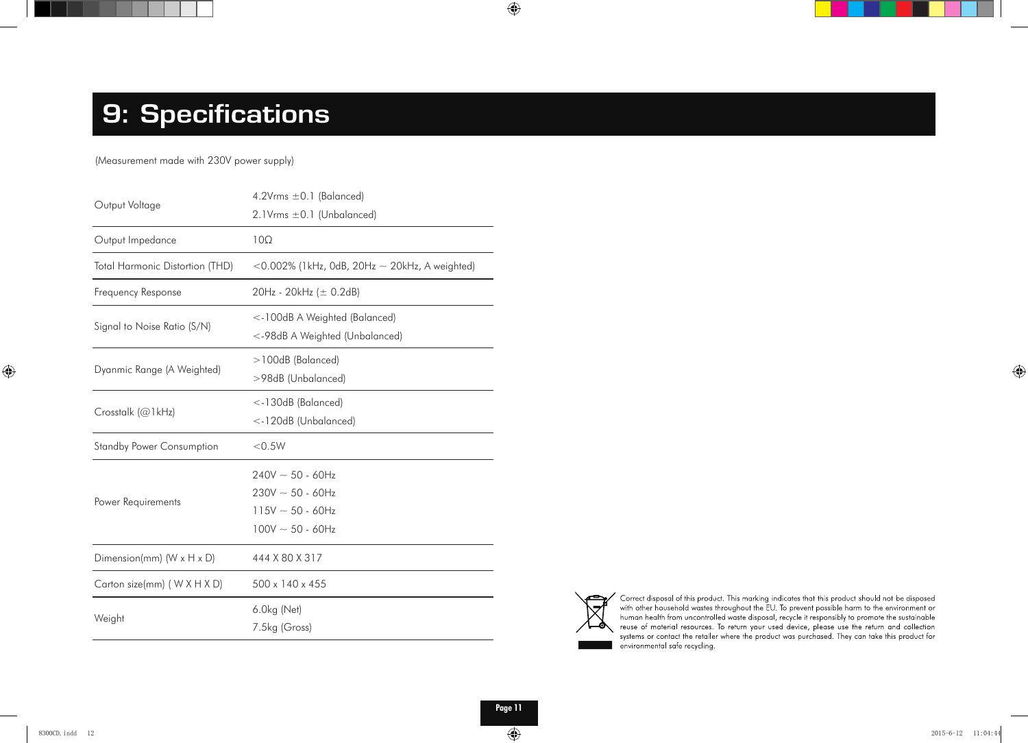# 9: Specifications

(Measurement made with 230V power supply)

| Output Voltage                   | 4.2Vrms $\pm$ 0.1 (Balanced)<br>$2.1V$ rms $\pm 0.1$ (Unbalanced)                                |
|----------------------------------|--------------------------------------------------------------------------------------------------|
| Output Impedance                 | $10\Omega$                                                                                       |
| Total Harmonic Distortion (THD)  | $<$ 0.002% (1kHz, 0dB, 20Hz $\sim$ 20kHz, A weighted)                                            |
| Frequency Response               | 20Hz - 20kHz ( $\pm$ 0.2dB)                                                                      |
| Signal to Noise Ratio (S/N)      | <-100dB A Weighted (Balanced)<br><-98dB A Weighted (Unbalanced)                                  |
| Dyanmic Range (A Weighted)       | >100dB (Balanced)<br>>98dB (Unbalanced)                                                          |
| Crosstalk (@1kHz)                | <-130dB (Balanced)<br><-120dB (Unbalanced)                                                       |
| <b>Standby Power Consumption</b> | $<$ 0.5 $W$                                                                                      |
| Power Requirements               | $240V \sim 50 - 60Hz$<br>$230V \sim 50 - 60Hz$<br>$115V \sim 50 - 60Hz$<br>$100V \sim 50 - 60Hz$ |
| Dimension(mm) (W x H x D)        | 444 X 80 X 317                                                                                   |
| Carton size(mm) (WXHXD)          | $500 \times 140 \times 455$                                                                      |
| Weight                           | $6.0kg$ (Net)<br>7.5kg (Gross)                                                                   |



Correct disposal of this product. This marking indicates that this product should not be disposed with other household wastes throughout the EU. To prevent possible harm to the environment or human health from uncontrolled systems or contact the retailer where the product was purchased. They can take this product for environmental safe recycling.

 $\bigoplus$ 

 $\bigoplus$ 

 $\bigcirc$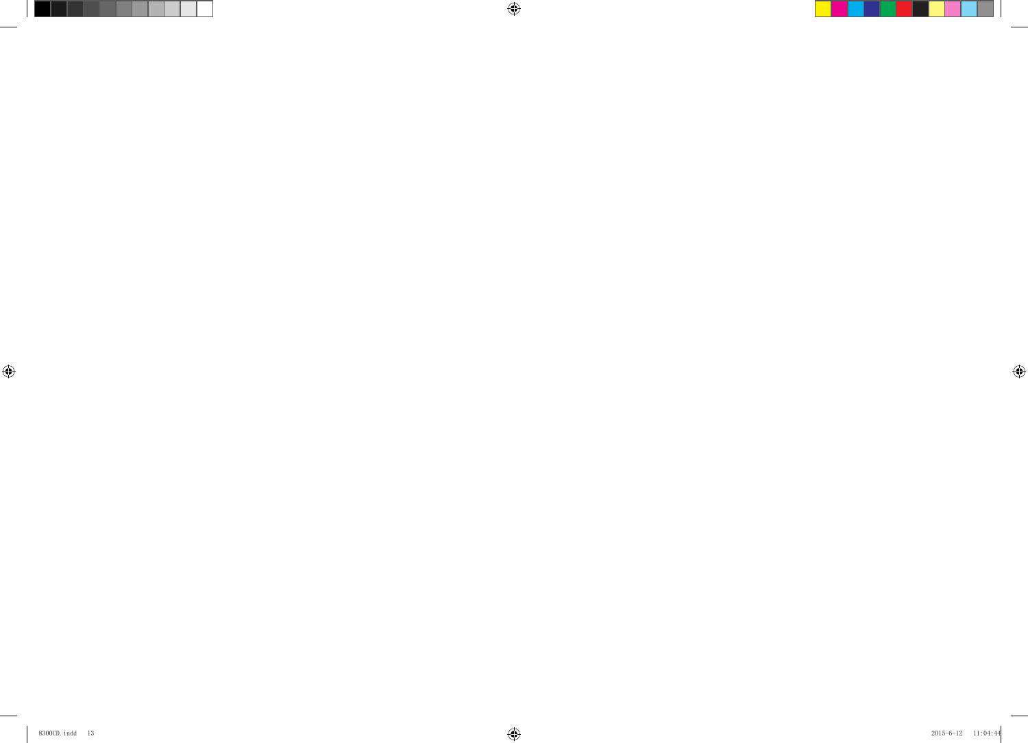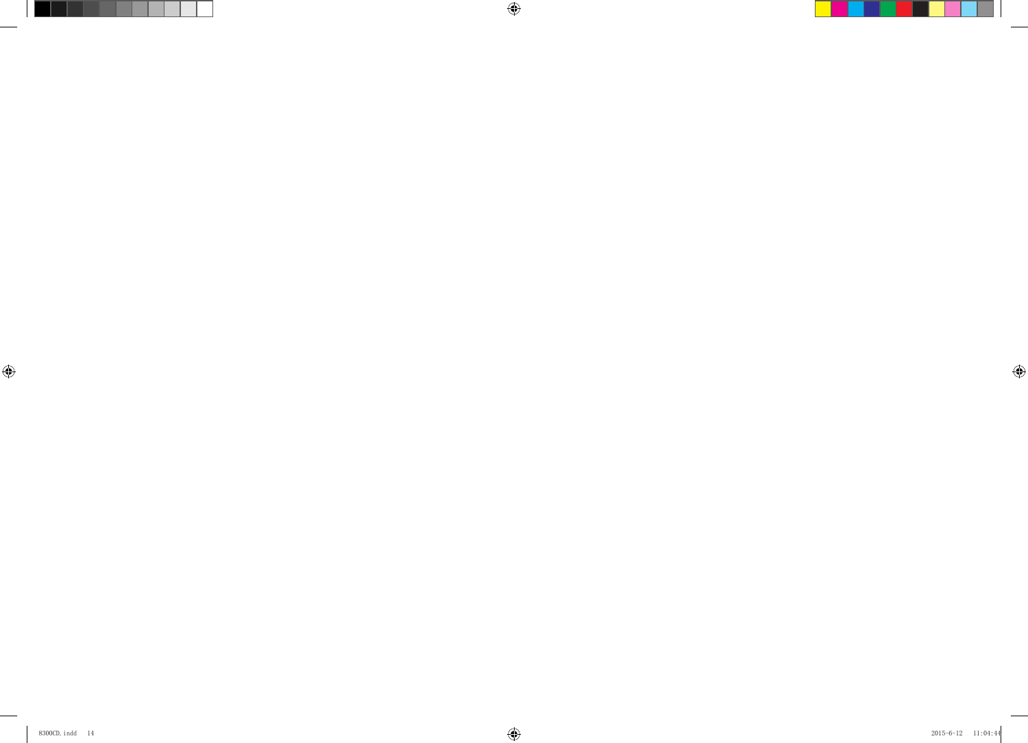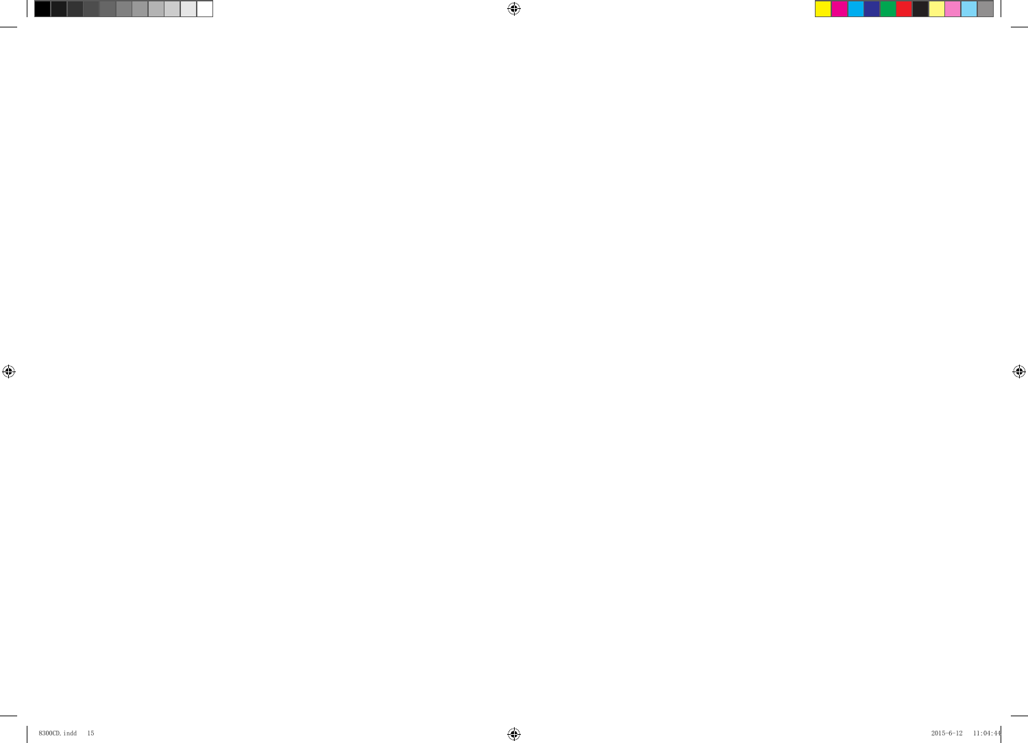